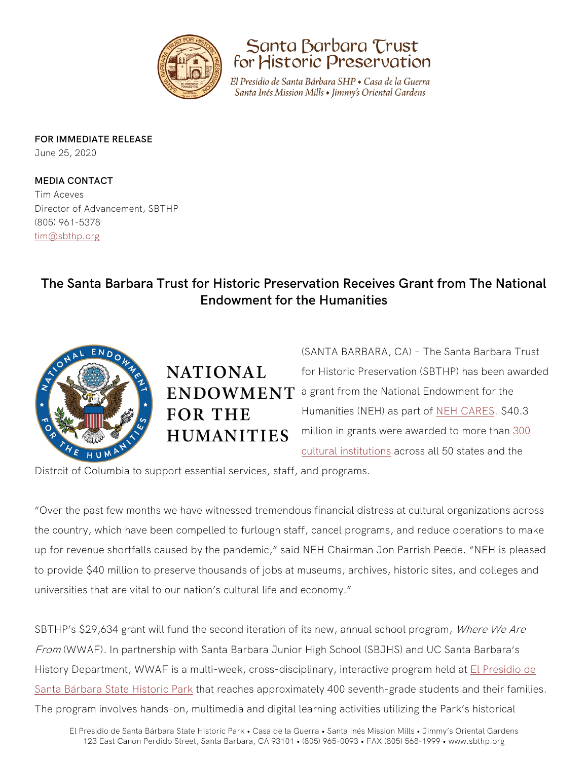



El Presidio de Santa Bárbara SHP • Casa de la Guerra Santa Inés Mission Mills • Jimmy's Oriental Gardens

**FOR IMMEDIATE RELEASE**

June 25, 2020

**MEDIA CONTACT** Tim Aceves Director of Advancement, SBTHP (805) 961-5378 [tim@sbthp.org](mailto:tim@sbthp.org) 

## **The Santa Barbara Trust for Historic Preservation Receives Grant from The National Endowment for the Humanities**



**NATIONAL FOR THE HUMANITIES** 

(SANTA BARBARA, CA) – The Santa Barbara Trust for Historic Preservation (SBTHP) has been awarded  $ENDOWMENT$  a grant from the National Endowment for the Humanities (NEH) as part of [NEH CARES.](https://www.neh.gov/news/neh-receives-75-million-distribute-cultural-institutions-affected-coronavirus) \$40.3 million in grants were awarded to more than [300](chrome-extension://oemmndcbldboiebfnladdacbdfmadadm/https:/www.neh.gov/sites/default/files/inline-files/NEH%20CARES%20grants%20June%202020_0.pdf)  [cultural institutions](chrome-extension://oemmndcbldboiebfnladdacbdfmadadm/https:/www.neh.gov/sites/default/files/inline-files/NEH%20CARES%20grants%20June%202020_0.pdf) across all 50 states and the

Distrcit of Columbia to support essential services, staff, and programs.

"Over the past few months we have witnessed tremendous financial distress at cultural organizations across the country, which have been compelled to furlough staff, cancel programs, and reduce operations to make up for revenue shortfalls caused by the pandemic," said NEH Chairman Jon Parrish Peede. "NEH is pleased to provide \$40 million to preserve thousands of jobs at museums, archives, historic sites, and colleges and universities that are vital to our nation's cultural life and economy."

SBTHP's \$29,634 grant will fund the second iteration of its new, annual school program, Where We Are From (WWAF). In partnership with Santa Barbara Junior High School (SBJHS) and UC Santa Barbara's History Department, WWAF is a multi-week, cross-disciplinary, interactive program held at El Presidio de [Santa Bárbara State Historic Park](https://www.sbthp.org/presidio) that reaches approximately 400 seventh-grade students and their families. The program involves hands-on, multimedia and digital learning activities utilizing the Park's historical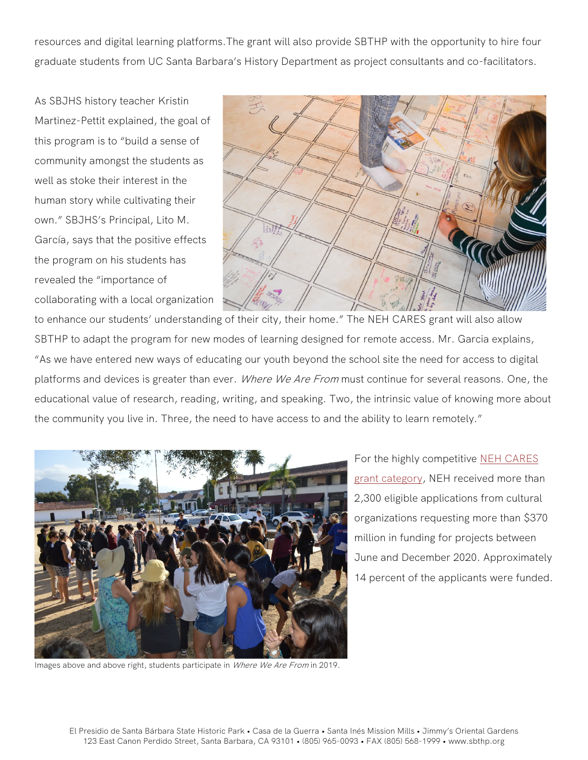resources and digital learning platforms.The grant will also provide SBTHP with the opportunity to hire four graduate students from UC Santa Barbara's History Department as project consultants and co-facilitators.

As SBJHS history teacher Kristin Martinez-Pettit explained, the goal of this program is to "build a sense of community amongst the students as well as stoke their interest in the human story while cultivating their own." SBJHS's Principal, Lito M. García, says that the positive effects the program on his students has revealed the "importance of collaborating with a local organization



to enhance our students' understanding of their city, their home." The NEH CARES grant will also allow SBTHP to adapt the program for new modes of learning designed for remote access. Mr. Garcia explains, "As we have entered new ways of educating our youth beyond the school site the need for access to digital platforms and devices is greater than ever. Where We Are From must continue for several reasons. One, the educational value of research, reading, writing, and speaking. Two, the intrinsic value of knowing more about the community you live in. Three, the need to have access to and the ability to learn remotely."



Images above and above right, students participate in Where We Are From in 2019.

For the highly competitive [NEH CARES](https://www.neh.gov/news/neh-offers-emergency-relief-funding-cultural-institutions-affected-coronavirus)  [grant category,](https://www.neh.gov/news/neh-offers-emergency-relief-funding-cultural-institutions-affected-coronavirus) NEH received more than 2,300 eligible applications from cultural organizations requesting more than \$370 million in funding for projects between June and December 2020. Approximately 14 percent of the applicants were funded.